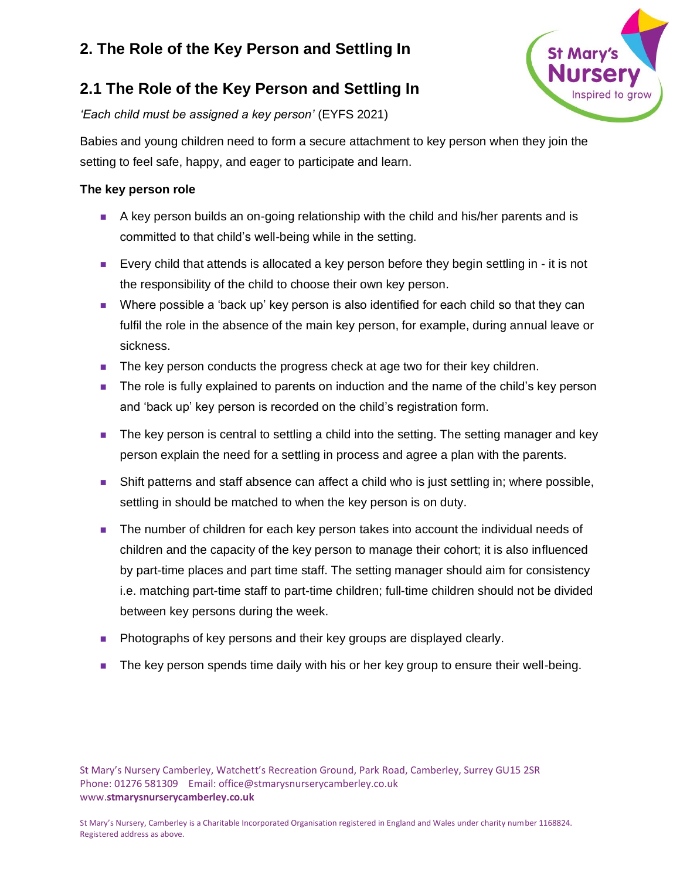



*'Each child must be assigned a key person'* (EYFS 2021)

Babies and young children need to form a secure attachment to key person when they join the setting to feel safe, happy, and eager to participate and learn.

### **The key person role**

- A key person builds an on-going relationship with the child and his/her parents and is committed to that child's well-being while in the setting.
- Every child that attends is allocated a key person before they begin settling in it is not the responsibility of the child to choose their own key person.
- Where possible a 'back up' key person is also identified for each child so that they can fulfil the role in the absence of the main key person, for example, during annual leave or sickness.
- The key person conducts the progress check at age two for their key children.
- The role is fully explained to parents on induction and the name of the child's key person and 'back up' key person is recorded on the child's registration form.
- The key person is central to settling a child into the setting. The setting manager and key person explain the need for a settling in process and agree a plan with the parents.
- Shift patterns and staff absence can affect a child who is just settling in; where possible, settling in should be matched to when the key person is on duty.
- The number of children for each key person takes into account the individual needs of children and the capacity of the key person to manage their cohort; it is also influenced by part-time places and part time staff. The setting manager should aim for consistency i.e. matching part-time staff to part-time children; full-time children should not be divided between key persons during the week.
- Photographs of key persons and their key groups are displayed clearly.
- The key person spends time daily with his or her key group to ensure their well-being.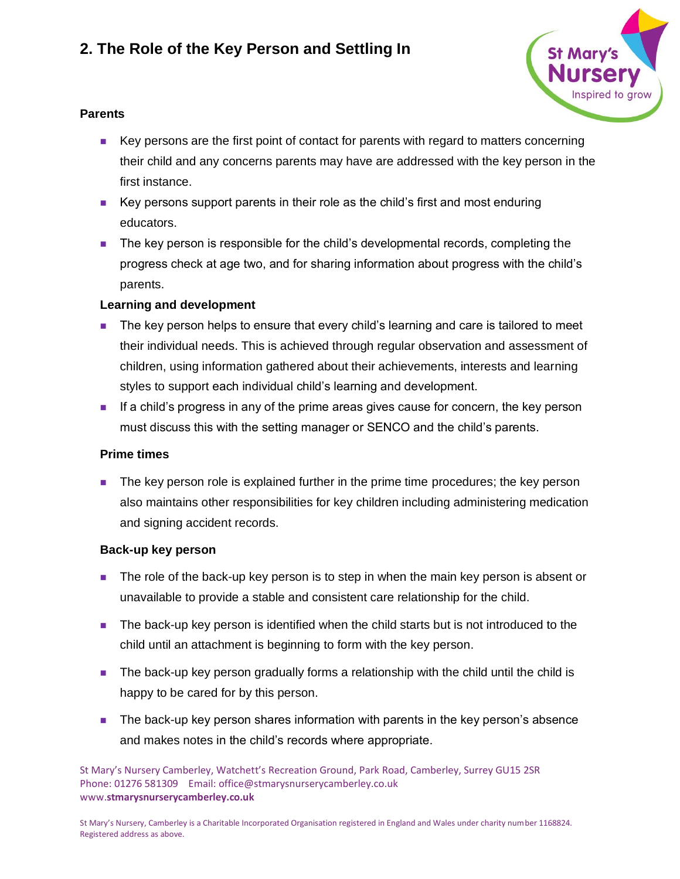

### **Parents**

- Key persons are the first point of contact for parents with regard to matters concerning their child and any concerns parents may have are addressed with the key person in the first instance.
- Key persons support parents in their role as the child's first and most enduring educators.
- The key person is responsible for the child's developmental records, completing the progress check at age two, and for sharing information about progress with the child's parents.

### **Learning and development**

- The key person helps to ensure that every child's learning and care is tailored to meet their individual needs. This is achieved through regular observation and assessment of children, using information gathered about their achievements, interests and learning styles to support each individual child's learning and development.
- If a child's progress in any of the prime areas gives cause for concern, the key person must discuss this with the setting manager or SENCO and the child's parents.

#### **Prime times**

■ The key person role is explained further in the prime time procedures; the key person also maintains other responsibilities for key children including administering medication and signing accident records.

#### **Back-up key person**

- The role of the back-up key person is to step in when the main key person is absent or unavailable to provide a stable and consistent care relationship for the child.
- The back-up key person is identified when the child starts but is not introduced to the child until an attachment is beginning to form with the key person.
- The back-up key person gradually forms a relationship with the child until the child is happy to be cared for by this person.
- The back-up key person shares information with parents in the key person's absence and makes notes in the child's records where appropriate.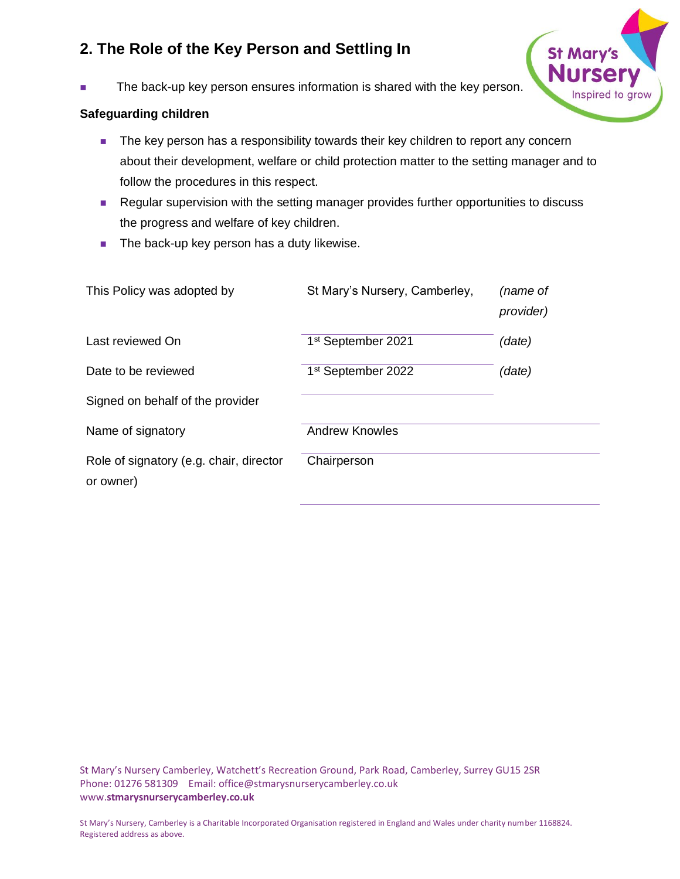

The back-up key person ensures information is shared with the key person.

### **Safeguarding children**

- The key person has a responsibility towards their key children to report any concern about their development, welfare or child protection matter to the setting manager and to follow the procedures in this respect.
- Regular supervision with the setting manager provides further opportunities to discuss the progress and welfare of key children.
- The back-up key person has a duty likewise.

| This Policy was adopted by                           | St Mary's Nursery, Camberley,  | (name of<br>provider) |
|------------------------------------------------------|--------------------------------|-----------------------|
| Last reviewed On                                     | 1 <sup>st</sup> September 2021 | (date)                |
| Date to be reviewed                                  | 1 <sup>st</sup> September 2022 | (date)                |
| Signed on behalf of the provider                     |                                |                       |
| Name of signatory                                    | <b>Andrew Knowles</b>          |                       |
| Role of signatory (e.g. chair, director<br>or owner) | Chairperson                    |                       |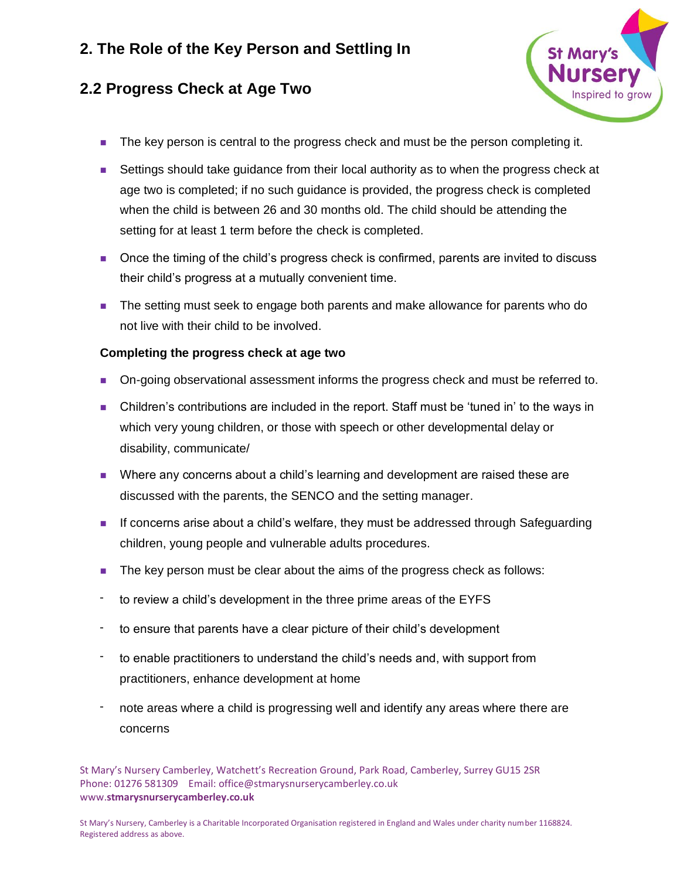## **2.2 Progress Check at Age Two**



- The key person is central to the progress check and must be the person completing it.
- Settings should take guidance from their local authority as to when the progress check at age two is completed; if no such guidance is provided, the progress check is completed when the child is between 26 and 30 months old. The child should be attending the setting for at least 1 term before the check is completed.
- Once the timing of the child's progress check is confirmed, parents are invited to discuss their child's progress at a mutually convenient time.
- The setting must seek to engage both parents and make allowance for parents who do not live with their child to be involved.

#### **Completing the progress check at age two**

- On-going observational assessment informs the progress check and must be referred to.
- Children's contributions are included in the report. Staff must be 'tuned in' to the ways in which very young children, or those with speech or other developmental delay or disability, communicate/
- Where any concerns about a child's learning and development are raised these are discussed with the parents, the SENCO and the setting manager.
- If concerns arise about a child's welfare, they must be addressed through Safeguarding children, young people and vulnerable adults procedures.
- The key person must be clear about the aims of the progress check as follows:
- to review a child's development in the three prime areas of the EYFS
- to ensure that parents have a clear picture of their child's development
- to enable practitioners to understand the child's needs and, with support from practitioners, enhance development at home
- note areas where a child is progressing well and identify any areas where there are concerns